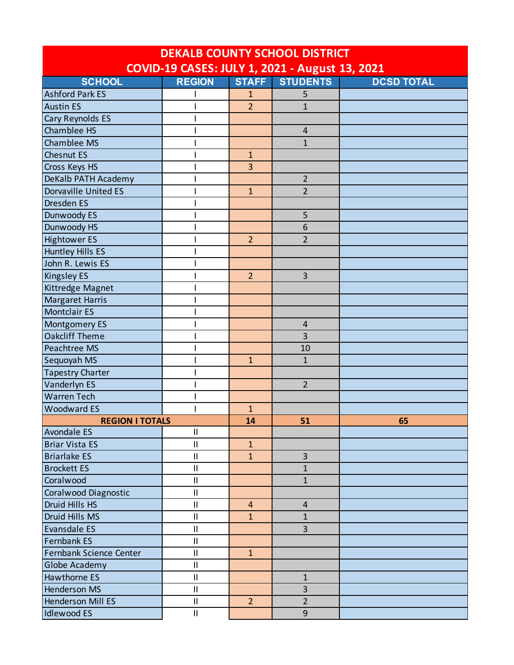| <b>DEKALB COUNTY SCHOOL DISTRICT</b>           |               |                |                         |                   |  |
|------------------------------------------------|---------------|----------------|-------------------------|-------------------|--|
| COVID-19 CASES: JULY 1, 2021 - August 13, 2021 |               |                |                         |                   |  |
| <b>SCHOOL</b>                                  | <b>REGION</b> | <b>STAFF</b>   | <b>STUDENTS</b>         | <b>DCSD TOTAL</b> |  |
| <b>Ashford Park ES</b>                         |               | 1              | 5                       |                   |  |
| <b>Austin ES</b>                               |               | $\overline{2}$ | $\mathbf{1}$            |                   |  |
| Cary Reynolds ES                               |               |                |                         |                   |  |
| Chamblee HS                                    |               |                | $\overline{\mathbf{4}}$ |                   |  |
| <b>Chamblee MS</b>                             |               |                | $\mathbf{1}$            |                   |  |
| <b>Chesnut ES</b>                              |               | $\mathbf{1}$   |                         |                   |  |
| Cross Keys HS                                  |               | $\overline{3}$ |                         |                   |  |
| DeKalb PATH Academy                            |               |                | $\overline{2}$          |                   |  |
| <b>Dorvaville United ES</b>                    |               | $\mathbf{1}$   | $\overline{2}$          |                   |  |
| Dresden ES                                     |               |                |                         |                   |  |
| Dunwoody ES                                    |               |                | 5                       |                   |  |
| Dunwoody HS                                    |               |                | 6                       |                   |  |
| <b>Hightower ES</b>                            |               | $\overline{2}$ | $\overline{2}$          |                   |  |
| <b>Huntley Hills ES</b>                        |               |                |                         |                   |  |
| John R. Lewis ES                               |               |                |                         |                   |  |
| <b>Kingsley ES</b>                             |               | $\overline{2}$ | 3                       |                   |  |
| Kittredge Magnet                               |               |                |                         |                   |  |
| <b>Margaret Harris</b>                         |               |                |                         |                   |  |
| <b>Montclair ES</b>                            |               |                |                         |                   |  |
| <b>Montgomery ES</b>                           |               |                | $\overline{4}$          |                   |  |
| <b>Oakcliff Theme</b>                          |               |                | 3                       |                   |  |
| Peachtree MS                                   |               |                | 10                      |                   |  |
| Sequoyah MS                                    |               | $\mathbf{1}$   | $\mathbf{1}$            |                   |  |
| <b>Tapestry Charter</b>                        |               |                |                         |                   |  |
| Vanderlyn ES                                   |               |                | $\overline{2}$          |                   |  |
| <b>Warren Tech</b>                             |               |                |                         |                   |  |
| <b>Woodward ES</b>                             |               | $\mathbf{1}$   |                         |                   |  |
| <b>REGION I TOTALS</b>                         |               | 14             | 51                      | 65                |  |
| <b>Avondale ES</b>                             | $\mathbf{I}$  |                |                         |                   |  |
| <b>Briar Vista ES</b>                          | $\mathbf{I}$  | $\mathbf{1}$   |                         |                   |  |
| <b>Briarlake ES</b>                            | $\mathbf{I}$  | $\mathbf{1}$   | $\overline{3}$          |                   |  |
| <b>Brockett ES</b>                             | $\mathbf{II}$ |                | $\mathbf{1}$            |                   |  |
| Coralwood                                      | $\mathbf{I}$  |                | $\mathbf{1}$            |                   |  |
| Coralwood Diagnostic                           | $\mathbf{II}$ |                |                         |                   |  |
| Druid Hills HS                                 | $\mathbf{II}$ | $\overline{4}$ | $\overline{\mathbf{4}}$ |                   |  |
| Druid Hills MS                                 | $\mathbf{II}$ | $\mathbf{1}$   | $\mathbf{1}$            |                   |  |
| Evansdale ES                                   | $\mathbf{II}$ |                | 3                       |                   |  |
| Fernbank ES                                    | $\mathbf{II}$ |                |                         |                   |  |
| Fernbank Science Center                        | $\sf II$      | $\mathbf{1}$   |                         |                   |  |
| Globe Academy                                  | $\mathbf{II}$ |                |                         |                   |  |
| Hawthorne ES                                   | $\mathbf{II}$ |                | $\mathbf{1}$            |                   |  |
| <b>Henderson MS</b>                            | $\mathbf{II}$ |                | 3                       |                   |  |
| <b>Henderson Mill ES</b>                       | $\mathbf{I}$  | $\overline{2}$ | $\overline{2}$          |                   |  |
| <b>Idlewood ES</b>                             | Ш             |                | 9                       |                   |  |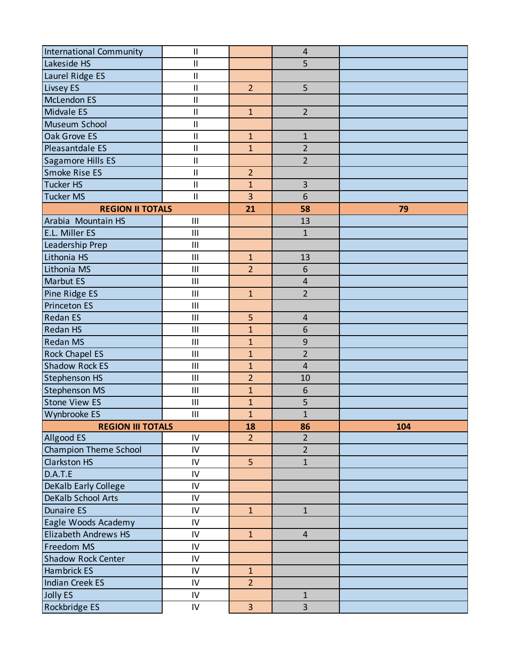| International Community   | $\mathbf{I}$               |                | $\overline{4}$          |     |
|---------------------------|----------------------------|----------------|-------------------------|-----|
| Lakeside HS               | $\mathbf{I}$               |                | 5                       |     |
| Laurel Ridge ES           | $\mathbf{I}$               |                |                         |     |
| Livsey ES                 | $\mathbf{I}$               | $\overline{2}$ | 5                       |     |
| <b>McLendon ES</b>        | $\sf II$                   |                |                         |     |
| <b>Midvale ES</b>         | $\mathbf{II}$              | $\mathbf{1}$   | $\overline{2}$          |     |
| Museum School             | $\mathbf{I}$               |                |                         |     |
| Oak Grove ES              | $\mathop{\rm II}\nolimits$ | $\mathbf{1}$   | $\mathbf 1$             |     |
| Pleasantdale ES           | $\mathbf{I}$               | $\mathbf{1}$   | $\overline{2}$          |     |
| Sagamore Hills ES         | $\sf II$                   |                | $\overline{2}$          |     |
| Smoke Rise ES             | $\mathbf{II}$              | $\overline{2}$ |                         |     |
| <b>Tucker HS</b>          | $\mathbf{II}$              | $\mathbf{1}$   | 3                       |     |
| <b>Tucker MS</b>          | $\sf II$                   | 3              | 6                       |     |
| <b>REGION II TOTALS</b>   |                            | 21             | 58                      | 79  |
| Arabia Mountain HS        | III                        |                | 13                      |     |
| E.L. Miller ES            | III                        |                | $\mathbf{1}$            |     |
| Leadership Prep           | III                        |                |                         |     |
| Lithonia HS               | III                        | $\mathbf{1}$   | 13                      |     |
| Lithonia MS               | III                        | $\overline{2}$ | 6                       |     |
| <b>Marbut ES</b>          | III                        |                | $\overline{\mathbf{r}}$ |     |
| Pine Ridge ES             | III                        | $\mathbf{1}$   | $\overline{2}$          |     |
| <b>Princeton ES</b>       | III                        |                |                         |     |
| <b>Redan ES</b>           | III                        | 5              | 4                       |     |
| <b>Redan HS</b>           | III                        | $\mathbf{1}$   | 6                       |     |
| <b>Redan MS</b>           | III                        | $\mathbf{1}$   | 9                       |     |
| <b>Rock Chapel ES</b>     | III                        | $\mathbf{1}$   | $\overline{2}$          |     |
| <b>Shadow Rock ES</b>     | III                        | $\mathbf{1}$   | $\overline{4}$          |     |
| <b>Stephenson HS</b>      | III                        | $\overline{2}$ | 10                      |     |
| <b>Stephenson MS</b>      | III                        | $\mathbf{1}$   | 6                       |     |
| <b>Stone View ES</b>      | III                        | $\mathbf{1}$   | 5                       |     |
| Wynbrooke ES              | III                        | $\overline{1}$ | $\mathbf{1}$            |     |
| <b>REGION III TOTALS</b>  |                            | 18             | 86                      | 104 |
| Allgood ES                | IV                         | $\overline{2}$ | $\overline{2}$          |     |
| Champion Theme School     | $\mathsf{IV}$              |                | $\overline{2}$          |     |
| <b>Clarkston HS</b>       | IV                         | 5 <sup>1</sup> | $\mathbf{1}$            |     |
| D.A.T.E                   | IV                         |                |                         |     |
| DeKalb Early College      | IV                         |                |                         |     |
| <b>DeKalb School Arts</b> | ${\sf IV}$                 |                |                         |     |
| <b>Dunaire ES</b>         | ${\sf IV}$                 | $\mathbf{1}$   | $1\,$                   |     |
| Eagle Woods Academy       | ${\sf IV}$                 |                |                         |     |
| Elizabeth Andrews HS      | $\mathsf{IV}$              | $\mathbf{1}$   | 4                       |     |
| Freedom MS                | $\mathsf{IV}$              |                |                         |     |
| <b>Shadow Rock Center</b> | ${\sf IV}$                 |                |                         |     |
| Hambrick ES               | $\mathsf{IV}$              | $\mathbf{1}$   |                         |     |
| <b>Indian Creek ES</b>    | IV                         | $\overline{2}$ |                         |     |
| <b>Jolly ES</b>           | IV                         |                | $1\,$                   |     |
| Rockbridge ES             | IV                         | $\overline{3}$ | 3                       |     |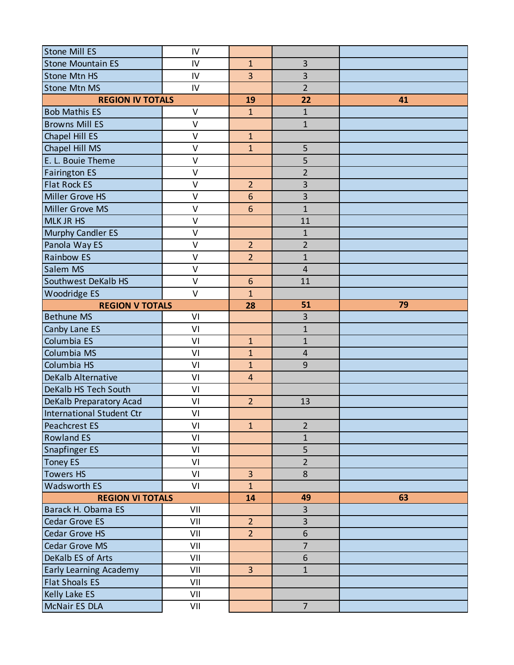| Stone Mill ES                 | IV           |                  |                         |    |
|-------------------------------|--------------|------------------|-------------------------|----|
| <b>Stone Mountain ES</b>      | IV           | $\overline{1}$   | 3                       |    |
| <b>Stone Mtn HS</b>           | IV           | 3                | $\overline{\mathbf{3}}$ |    |
| <b>Stone Mtn MS</b>           | IV           |                  | $\overline{2}$          |    |
| <b>REGION IV TOTALS</b>       |              | 19               | 22                      | 41 |
| <b>Bob Mathis ES</b>          | $\vee$       | $\mathbf{1}$     | $\mathbf{1}$            |    |
| <b>Browns Mill ES</b>         | $\vee$       |                  | $\mathbf{1}$            |    |
| Chapel Hill ES                | $\vee$       | $\mathbf{1}$     |                         |    |
| Chapel Hill MS                | $\vee$       | $\mathbf{1}$     | 5                       |    |
| E. L. Bouie Theme             | $\mathsf{V}$ |                  | 5                       |    |
| <b>Fairington ES</b>          | $\vee$       |                  | $\overline{2}$          |    |
| <b>Flat Rock ES</b>           | $\vee$       | $\overline{2}$   | 3                       |    |
| Miller Grove HS               | $\vee$       | $\boldsymbol{6}$ | $\overline{\mathbf{3}}$ |    |
| Miller Grove MS               | $\vee$       | $6\phantom{1}6$  | $\overline{1}$          |    |
| <b>MLK JR HS</b>              | $\vee$       |                  | 11                      |    |
| <b>Murphy Candler ES</b>      | $\vee$       |                  | $\mathbf{1}$            |    |
| Panola Way ES                 | $\vee$       | $\overline{2}$   | $\overline{2}$          |    |
| <b>Rainbow ES</b>             | $\vee$       | $\overline{2}$   | $\mathbf{1}$            |    |
| Salem MS                      | $\vee$       |                  | $\overline{\mathbf{4}}$ |    |
| Southwest DeKalb HS           | $\mathsf{V}$ | $6\phantom{1}6$  | 11                      |    |
| Woodridge ES                  | $\vee$       | $\mathbf{1}$     |                         |    |
| <b>REGION V TOTALS</b>        |              | 28               | 51                      | 79 |
| <b>Bethune MS</b>             | VI           |                  | 3                       |    |
| Canby Lane ES                 | VI           |                  | $\mathbf{1}$            |    |
| Columbia ES                   | VI           | $\mathbf{1}$     | $\mathbf{1}$            |    |
| Columbia MS                   | VI           | $\mathbf{1}$     | $\overline{\mathbf{4}}$ |    |
| Columbia HS                   | VI           | $\mathbf{1}$     | 9                       |    |
| <b>DeKalb Alternative</b>     | VI           | $\overline{4}$   |                         |    |
| DeKalb HS Tech South          | VI           |                  |                         |    |
| DeKalb Preparatory Acad       | VI           | $\overline{2}$   | 13                      |    |
| International Student Ctr     | VI           |                  |                         |    |
| Peachcrest ES                 | VI           | $\mathbf{1}$     | $\overline{2}$          |    |
| <b>Rowland ES</b>             | VI           |                  | $\mathbf{1}$            |    |
| Snapfinger ES                 | VI           |                  | 5                       |    |
| <b>Toney ES</b>               | VI           |                  | $\overline{2}$          |    |
| <b>Towers HS</b>              | VI           | $\overline{3}$   | 8                       |    |
| <b>Wadsworth ES</b>           | VI           | $\mathbf{1}$     |                         |    |
| <b>REGION VI TOTALS</b>       |              | 14               | 49                      | 63 |
| Barack H. Obama ES            | VII          |                  | 3                       |    |
| Cedar Grove ES                | VII          | $\overline{2}$   | 3                       |    |
| Cedar Grove HS                | VII          | $\overline{2}$   | $6\phantom{a}$          |    |
| Cedar Grove MS                | VII          |                  | $\overline{7}$          |    |
| DeKalb ES of Arts             | VII          |                  | $6 \overline{6}$        |    |
| <b>Early Learning Academy</b> | VII          | $\overline{3}$   | $\mathbf{1}$            |    |
| <b>Flat Shoals ES</b>         | VII          |                  |                         |    |
| Kelly Lake ES                 | VII          |                  |                         |    |
| McNair ES DLA                 | VII          |                  | $\overline{7}$          |    |